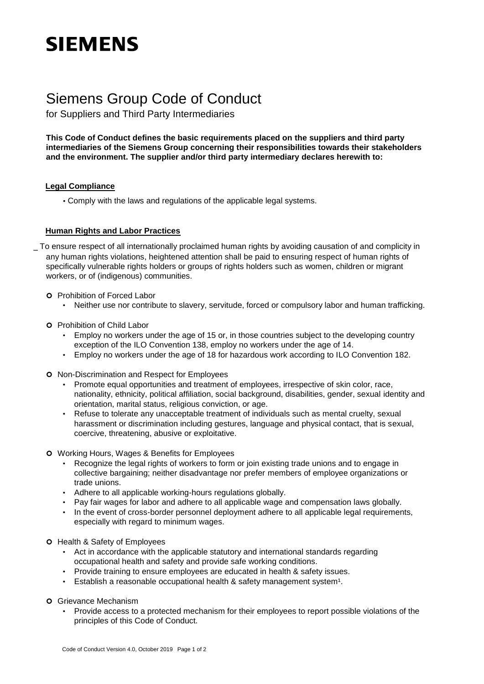# **SIEMENS**

## Siemens Group Code of Conduct

for Suppliers and Third Party Intermediaries

**This Code of Conduct defines the basic requirements placed on the suppliers and third party intermediaries of the Siemens Group concerning their responsibilities towards their stakeholders and the environment. The supplier and/or third party intermediary declares herewith to:** 

### **Legal Compliance**

• Comply with the laws and regulations of the applicable legal systems.

### **Human Rights and Labor Practices**

\_ To ensure respect of all internationally proclaimed human rights by avoiding causation of and complicity in any human rights violations, heightened attention shall be paid to ensuring respect of human rights of specifically vulnerable rights holders or groups of rights holders such as women, children or migrant workers, or of (indigenous) communities.

- **O** Prohibition of Forced Labor
	- Neither use nor contribute to slavery, servitude, forced or compulsory labor and human trafficking.
- **O** Prohibition of Child Labor
	- Employ no workers under the age of 15 or, in those countries subject to the developing country exception of the ILO Convention 138, employ no workers under the age of 14.
	- Employ no workers under the age of 18 for hazardous work according to ILO Convention 182.
- **o** Non-Discrimination and Respect for Employees
	- Promote equal opportunities and treatment of employees, irrespective of skin color, race, nationality, ethnicity, political affiliation, social background, disabilities, gender, sexual identity and orientation, marital status, religious conviction, or age.
	- Refuse to tolerate any unacceptable treatment of individuals such as mental cruelty, sexual harassment or discrimination including gestures, language and physical contact, that is sexual, coercive, threatening, abusive or exploitative.
- Working Hours, Wages & Benefits for Employees
	- Recognize the legal rights of workers to form or join existing trade unions and to engage in collective bargaining; neither disadvantage nor prefer members of employee organizations or trade unions.
	- Adhere to all applicable working-hours regulations globally.
	- Pay fair wages for labor and adhere to all applicable wage and compensation laws globally.
	- In the event of cross-border personnel deployment adhere to all applicable legal requirements, especially with regard to minimum wages.
- **O** Health & Safety of Employees
	- Act in accordance with the applicable statutory and international standards regarding occupational health and safety and provide safe working conditions.
	- Provide training to ensure employees are educated in health & safety issues.
	- Establish a reasonable occupational health & safety management system<sup>1</sup>.
- Grievance Mechanism
	- Provide access to a protected mechanism for their employees to report possible violations of the principles of this Code of Conduct.